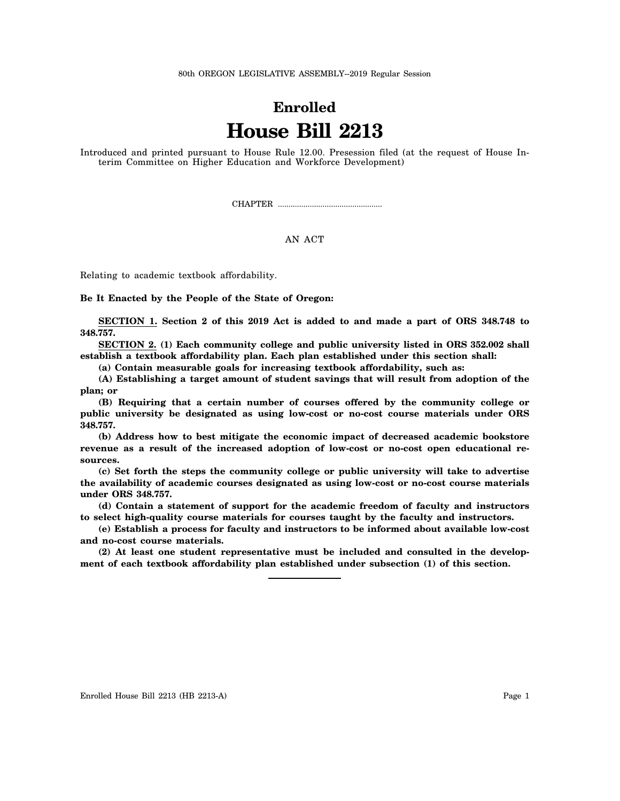80th OREGON LEGISLATIVE ASSEMBLY--2019 Regular Session

## **Enrolled House Bill 2213**

Introduced and printed pursuant to House Rule 12.00. Presession filed (at the request of House Interim Committee on Higher Education and Workforce Development)

CHAPTER .................................................

## AN ACT

Relating to academic textbook affordability.

**Be It Enacted by the People of the State of Oregon:**

**SECTION 1. Section 2 of this 2019 Act is added to and made a part of ORS 348.748 to 348.757.**

**SECTION 2. (1) Each community college and public university listed in ORS 352.002 shall establish a textbook affordability plan. Each plan established under this section shall:**

**(a) Contain measurable goals for increasing textbook affordability, such as:**

**(A) Establishing a target amount of student savings that will result from adoption of the plan; or**

**(B) Requiring that a certain number of courses offered by the community college or public university be designated as using low-cost or no-cost course materials under ORS 348.757.**

**(b) Address how to best mitigate the economic impact of decreased academic bookstore revenue as a result of the increased adoption of low-cost or no-cost open educational resources.**

**(c) Set forth the steps the community college or public university will take to advertise the availability of academic courses designated as using low-cost or no-cost course materials under ORS 348.757.**

**(d) Contain a statement of support for the academic freedom of faculty and instructors to select high-quality course materials for courses taught by the faculty and instructors.**

**(e) Establish a process for faculty and instructors to be informed about available low-cost and no-cost course materials.**

**(2) At least one student representative must be included and consulted in the development of each textbook affordability plan established under subsection (1) of this section.**